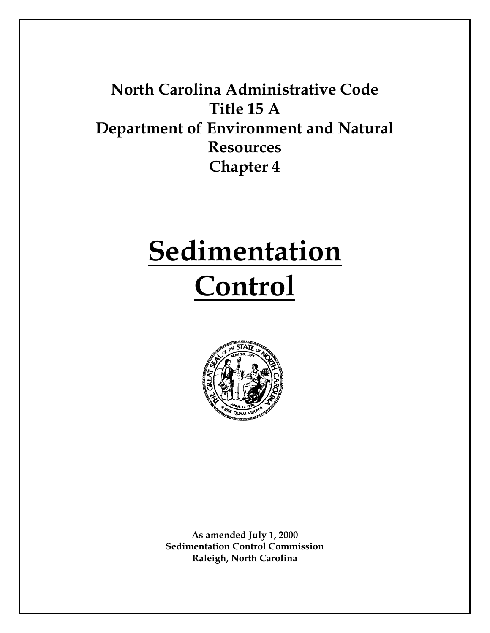# **North Carolina Administrative Code Title 15 A Department of Environment and Natural Resources Chapter 4**

# **Sedimentation Control**



**As amended July 1, 2000 Sedimentation Control Commission Raleigh, North Carolina**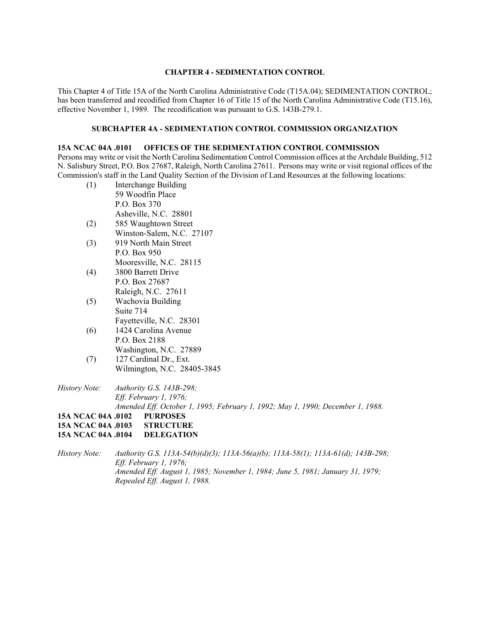# **CHAPTER 4 - SEDIMENTATION CONTROL**

This Chapter 4 of Title 15A of the North Carolina Administrative Code (T15A.04); SEDIMENTATION CONTROL; has been transferred and recodified from Chapter 16 of Title 15 of the North Carolina Administrative Code (T15.16), effective November 1, 1989. The recodification was pursuant to G.S. 143B-279.1.

#### **SUBCHAPTER 4A - SEDIMENTATION CONTROL COMMISSION ORGANIZATION**

#### **15A NCAC 04A .0101 OFFICES OF THE SEDIMENTATION CONTROL COMMISSION**

Persons may write or visit the North Carolina Sedimentation Control Commission offices at the Archdale Building, 512 N. Salisbury Street, P.O. Box 27687, Raleigh, North Carolina 27611. Persons may write or visit regional offices of the Commission's staff in the Land Quality Section of the Division of Land Resources at the following locations:

- (1) Interchange Building 59 Woodfin Place P.O. Box 370 Asheville, N.C. 28801
- (2) 585 Waughtown Street Winston-Salem, N.C. 27107
- (3) 919 North Main Street P.O. Box 950 Mooresville, N.C. 28115
- (4) 3800 Barrett Drive P.O. Box 27687 Raleigh, N.C. 27611
- (5) Wachovia Building Suite 714 Fayetteville, N.C. 28301
- (6) 1424 Carolina Avenue P.O. Box 2188 Washington, N.C. 27889
- (7) 127 Cardinal Dr., Ext. Wilmington, N.C. 28405-3845

*History Note: Authority G.S. 143B-298; Eff. February 1, 1976; Amended Eff. October 1, 1995; February 1, 1992; May 1, 1990; December 1, 1988.*  **15A NCAC 04A .0102 PURPOSES 15A NCAC 04A .0103 STRUCTURE 15A NCAC 04A .0104 DELEGATION** 

*History Note: Authority G.S. 113A-54(b)(d)(3); 113A-56(a)(b); 113A-58(1); 113A-61(d); 143B-298; Eff. February 1, 1976; Amended Eff. August 1, 1985; November 1, 1984; June 5, 1981; January 31, 1979; Repealed Eff. August 1, 1988.*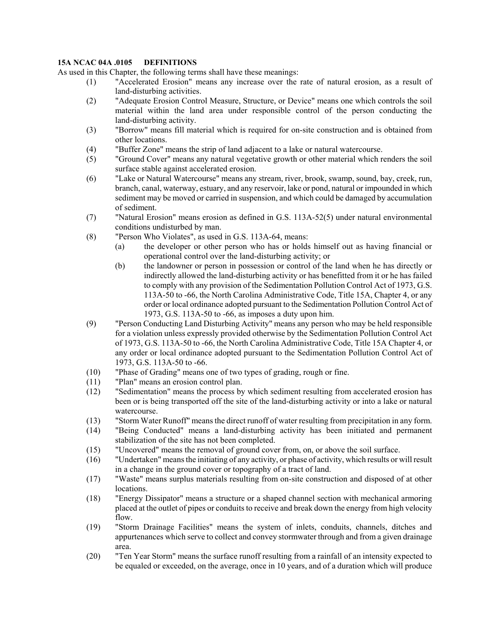# **15A NCAC 04A .0105 DEFINITIONS**

As used in this Chapter, the following terms shall have these meanings:

- (1) "Accelerated Erosion" means any increase over the rate of natural erosion, as a result of land-disturbing activities.
- (2) "Adequate Erosion Control Measure, Structure, or Device" means one which controls the soil material within the land area under responsible control of the person conducting the land-disturbing activity.
- (3) "Borrow" means fill material which is required for on-site construction and is obtained from other locations.
- (4) "Buffer Zone" means the strip of land adjacent to a lake or natural watercourse.
- (5) "Ground Cover" means any natural vegetative growth or other material which renders the soil surface stable against accelerated erosion.
- (6) "Lake or Natural Watercourse" means any stream, river, brook, swamp, sound, bay, creek, run, branch, canal, waterway, estuary, and any reservoir, lake or pond, natural or impounded in which sediment may be moved or carried in suspension, and which could be damaged by accumulation of sediment.
- (7) "Natural Erosion" means erosion as defined in G.S. 113A-52(5) under natural environmental conditions undisturbed by man.
- (8) "Person Who Violates", as used in G.S. 113A-64, means:
	- (a) the developer or other person who has or holds himself out as having financial or operational control over the land-disturbing activity; or
	- (b) the landowner or person in possession or control of the land when he has directly or indirectly allowed the land-disturbing activity or has benefitted from it or he has failed to comply with any provision of the Sedimentation Pollution Control Act of 1973, G.S. 113A-50 to -66, the North Carolina Administrative Code, Title 15A, Chapter 4, or any order or local ordinance adopted pursuant to the Sedimentation Pollution Control Act of 1973, G.S. 113A-50 to -66, as imposes a duty upon him.
- (9) "Person Conducting Land Disturbing Activity" means any person who may be held responsible for a violation unless expressly provided otherwise by the Sedimentation Pollution Control Act of 1973, G.S. 113A-50 to -66, the North Carolina Administrative Code, Title 15A Chapter 4, or any order or local ordinance adopted pursuant to the Sedimentation Pollution Control Act of 1973, G.S. 113A-50 to -66.
- (10) "Phase of Grading" means one of two types of grading, rough or fine.
- (11) "Plan" means an erosion control plan.
- (12) "Sedimentation" means the process by which sediment resulting from accelerated erosion has been or is being transported off the site of the land-disturbing activity or into a lake or natural watercourse.
- (13) "Storm Water Runoff" means the direct runoff of water resulting from precipitation in any form.
- (14) "Being Conducted" means a land-disturbing activity has been initiated and permanent stabilization of the site has not been completed.
- (15) "Uncovered" means the removal of ground cover from, on, or above the soil surface.
- (16) "Undertaken" means the initiating of any activity, or phase of activity, which results or will result in a change in the ground cover or topography of a tract of land.
- (17) "Waste" means surplus materials resulting from on-site construction and disposed of at other locations.
- (18) "Energy Dissipator" means a structure or a shaped channel section with mechanical armoring placed at the outlet of pipes or conduits to receive and break down the energy from high velocity flow.
- (19) "Storm Drainage Facilities" means the system of inlets, conduits, channels, ditches and appurtenances which serve to collect and convey stormwater through and from a given drainage area.
- (20) "Ten Year Storm" means the surface runoff resulting from a rainfall of an intensity expected to be equaled or exceeded, on the average, once in 10 years, and of a duration which will produce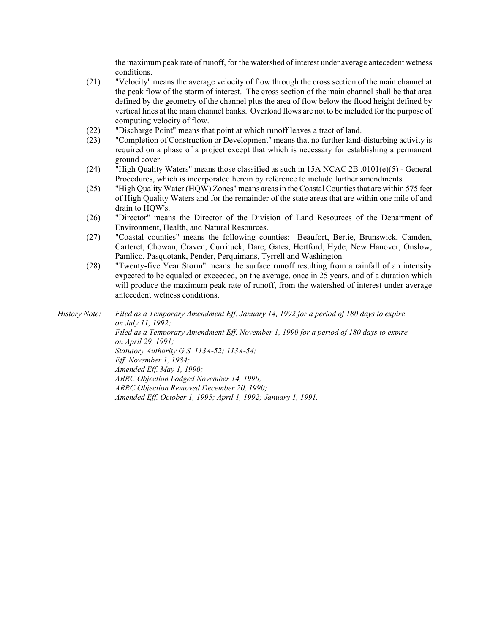the maximum peak rate of runoff, for the watershed of interest under average antecedent wetness conditions.

- (21) "Velocity" means the average velocity of flow through the cross section of the main channel at the peak flow of the storm of interest. The cross section of the main channel shall be that area defined by the geometry of the channel plus the area of flow below the flood height defined by vertical lines at the main channel banks. Overload flows are not to be included for the purpose of computing velocity of flow.
- (22) "Discharge Point" means that point at which runoff leaves a tract of land.
- (23) "Completion of Construction or Development" means that no further land-disturbing activity is required on a phase of a project except that which is necessary for establishing a permanent ground cover.
- (24) "High Quality Waters" means those classified as such in 15A NCAC 2B .0101(e)(5) General Procedures, which is incorporated herein by reference to include further amendments.
- (25) "High Quality Water (HQW) Zones" means areas in the Coastal Counties that are within 575 feet of High Quality Waters and for the remainder of the state areas that are within one mile of and drain to HQW's.
- (26) "Director" means the Director of the Division of Land Resources of the Department of Environment, Health, and Natural Resources.
- (27) "Coastal counties" means the following counties: Beaufort, Bertie, Brunswick, Camden, Carteret, Chowan, Craven, Currituck, Dare, Gates, Hertford, Hyde, New Hanover, Onslow, Pamlico, Pasquotank, Pender, Perquimans, Tyrrell and Washington.
- (28) "Twenty-five Year Storm" means the surface runoff resulting from a rainfall of an intensity expected to be equaled or exceeded, on the average, once in 25 years, and of a duration which will produce the maximum peak rate of runoff, from the watershed of interest under average antecedent wetness conditions.

*History Note: Filed as a Temporary Amendment Eff. January 14, 1992 for a period of 180 days to expire on July 11, 1992; Filed as a Temporary Amendment Eff. November 1, 1990 for a period of 180 days to expire* 

*on April 29, 1991; Statutory Authority G.S. 113A-52; 113A-54; Eff. November 1, 1984; Amended Eff. May 1, 1990; ARRC Objection Lodged November 14, 1990; ARRC Objection Removed December 20, 1990; Amended Eff. October 1, 1995; April 1, 1992; January 1, 1991.*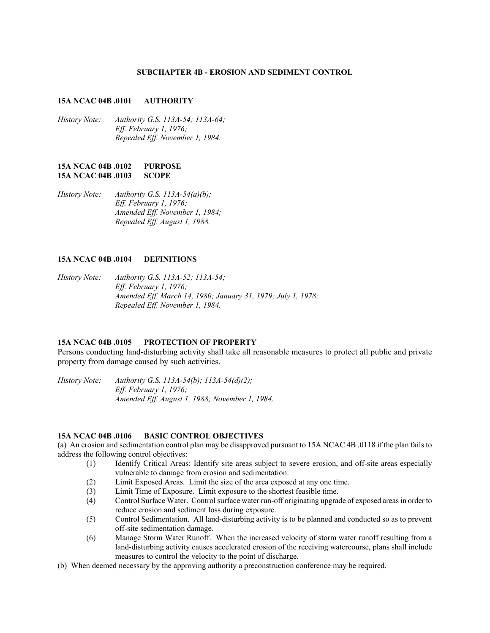#### **SUBCHAPTER 4B - EROSION AND SEDIMENT CONTROL**

#### **15A NCAC 04B .0101 AUTHORITY**

*History Note: Authority G.S. 113A-54; 113A-64; Eff. February 1, 1976; Repealed Eff. November 1, 1984.* 

#### **15A NCAC 04B .0102 PURPOSE 15A NCAC 04B .0103 SCOPE**

*History Note: Authority G.S. 113A-54(a)(b); Eff. February 1, 1976; Amended Eff. November 1, 1984; Repealed Eff. August 1, 1988.* 

#### **15A NCAC 04B .0104 DEFINITIONS**

*History Note: Authority G.S. 113A-52; 113A-54; Eff. February 1, 1976; Amended Eff. March 14, 1980; January 31, 1979; July 1, 1978; Repealed Eff. November 1, 1984.* 

# **15A NCAC 04B .0105 PROTECTION OF PROPERTY**

Persons conducting land-disturbing activity shall take all reasonable measures to protect all public and private property from damage caused by such activities.

*History Note: Authority G.S. 113A-54(b); 113A-54(d)(2); Eff. February 1, 1976; Amended Eff. August 1, 1988; November 1, 1984.* 

#### **15A NCAC 04B .0106 BASIC CONTROL OBJECTIVES**

(a) An erosion and sedimentation control plan may be disapproved pursuant to 15A NCAC 4B .0118 if the plan fails to address the following control objectives:

- (1) Identify Critical Areas: Identify site areas subject to severe erosion, and off-site areas especially vulnerable to damage from erosion and sedimentation.
- (2) Limit Exposed Areas. Limit the size of the area exposed at any one time.
- (3) Limit Time of Exposure. Limit exposure to the shortest feasible time.
- (4) Control Surface Water. Control surface water run-off originating upgrade of exposed areas in order to reduce erosion and sediment loss during exposure.
- (5) Control Sedimentation. All land-disturbing activity is to be planned and conducted so as to prevent off-site sedimentation damage.
- (6) Manage Storm Water Runoff. When the increased velocity of storm water runoff resulting from a land-disturbing activity causes accelerated erosion of the receiving watercourse, plans shall include measures to control the velocity to the point of discharge.
- (b) When deemed necessary by the approving authority a preconstruction conference may be required.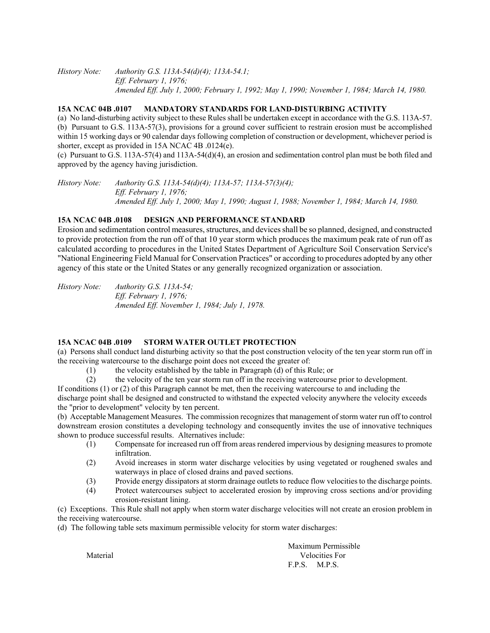*History Note: Authority G.S. 113A-54(d)(4); 113A-54.1; Eff. February 1, 1976; Amended Eff. July 1, 2000; February 1, 1992; May 1, 1990; November 1, 1984; March 14, 1980.* 

#### **15A NCAC 04B .0107 MANDATORY STANDARDS FOR LAND-DISTURBING ACTIVITY**

(a) No land-disturbing activity subject to these Rules shall be undertaken except in accordance with the G.S. 113A-57. (b) Pursuant to G.S. 113A-57(3), provisions for a ground cover sufficient to restrain erosion must be accomplished within 15 working days or 90 calendar days following completion of construction or development, whichever period is shorter, except as provided in 15A NCAC 4B .0124(e).

(c) Pursuant to G.S. 113A-57(4) and 113A-54(d)(4), an erosion and sedimentation control plan must be both filed and approved by the agency having jurisdiction.

*History Note: Authority G.S. 113A-54(d)(4); 113A-57; 113A-57(3)(4); Eff. February 1, 1976; Amended Eff. July 1, 2000; May 1, 1990; August 1, 1988; November 1, 1984; March 14, 1980.* 

# **15A NCAC 04B .0108 DESIGN AND PERFORMANCE STANDARD**

Erosion and sedimentation control measures, structures, and devices shall be so planned, designed, and constructed to provide protection from the run off of that 10 year storm which produces the maximum peak rate of run off as calculated according to procedures in the United States Department of Agriculture Soil Conservation Service's "National Engineering Field Manual for Conservation Practices" or according to procedures adopted by any other agency of this state or the United States or any generally recognized organization or association.

*History Note: Authority G.S. 113A-54; Eff. February 1, 1976; Amended Eff. November 1, 1984; July 1, 1978.* 

# **15A NCAC 04B .0109 STORM WATER OUTLET PROTECTION**

(a) Persons shall conduct land disturbing activity so that the post construction velocity of the ten year storm run off in the receiving watercourse to the discharge point does not exceed the greater of:

- (1) the velocity established by the table in Paragraph (d) of this Rule; or
- (2) the velocity of the ten year storm run off in the receiving watercourse prior to development.

If conditions (1) or (2) of this Paragraph cannot be met, then the receiving watercourse to and including the discharge point shall be designed and constructed to withstand the expected velocity anywhere the velocity exceeds the "prior to development" velocity by ten percent.

(b) Acceptable Management Measures. The commission recognizes that management of storm water run off to control downstream erosion constitutes a developing technology and consequently invites the use of innovative techniques shown to produce successful results. Alternatives include:

- (1) Compensate for increased run off from areas rendered impervious by designing measures to promote infiltration.
- (2) Avoid increases in storm water discharge velocities by using vegetated or roughened swales and waterways in place of closed drains and paved sections.
- (3) Provide energy dissipators at storm drainage outlets to reduce flow velocities to the discharge points.
- (4) Protect watercourses subject to accelerated erosion by improving cross sections and/or providing erosion-resistant lining.

(c) Exceptions. This Rule shall not apply when storm water discharge velocities will not create an erosion problem in the receiving watercourse.

(d) The following table sets maximum permissible velocity for storm water discharges:

Maximum Permissible Material Velocities For F.P.S. M.P.S.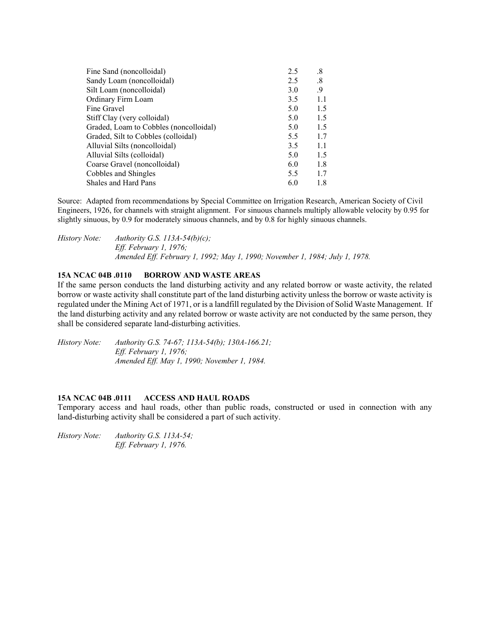| Fine Sand (noncolloidal)               | 2.5 | .8     |
|----------------------------------------|-----|--------|
| Sandy Loam (noncolloidal)              | 2.5 | $.8\,$ |
| Silt Loam (noncolloidal)               | 3.0 | .9     |
| Ordinary Firm Loam                     | 3.5 | 1.1    |
| Fine Gravel                            | 5.0 | 1.5    |
| Stiff Clay (very colloidal)            | 5.0 | 1.5    |
| Graded, Loam to Cobbles (noncolloidal) | 5.0 | 1.5    |
| Graded, Silt to Cobbles (colloidal)    | 5.5 | 1.7    |
| Alluvial Silts (noncolloidal)          | 3.5 | 1.1    |
| Alluvial Silts (colloidal)             | 5.0 | 1.5    |
| Coarse Gravel (noncolloidal)           | 6.0 | 1.8    |
| Cobbles and Shingles                   | 5.5 | 1.7    |
| Shales and Hard Pans                   | 6.0 | 1.8    |

Source: Adapted from recommendations by Special Committee on Irrigation Research, American Society of Civil Engineers, 1926, for channels with straight alignment. For sinuous channels multiply allowable velocity by 0.95 for slightly sinuous, by 0.9 for moderately sinuous channels, and by 0.8 for highly sinuous channels.

*History Note: Authority G.S. 113A-54(b)(c); Eff. February 1, 1976; Amended Eff. February 1, 1992; May 1, 1990; November 1, 1984; July 1, 1978.* 

# **15A NCAC 04B .0110 BORROW AND WASTE AREAS**

If the same person conducts the land disturbing activity and any related borrow or waste activity, the related borrow or waste activity shall constitute part of the land disturbing activity unless the borrow or waste activity is regulated under the Mining Act of 1971, or is a landfill regulated by the Division of Solid Waste Management. If the land disturbing activity and any related borrow or waste activity are not conducted by the same person, they shall be considered separate land-disturbing activities.

*History Note: Authority G.S. 74-67; 113A-54(b); 130A-166.21; Eff. February 1, 1976; Amended Eff. May 1, 1990; November 1, 1984.* 

# **15A NCAC 04B .0111 ACCESS AND HAUL ROADS**

Temporary access and haul roads, other than public roads, constructed or used in connection with any land-disturbing activity shall be considered a part of such activity.

*History Note: Authority G.S. 113A-54; Eff. February 1, 1976.*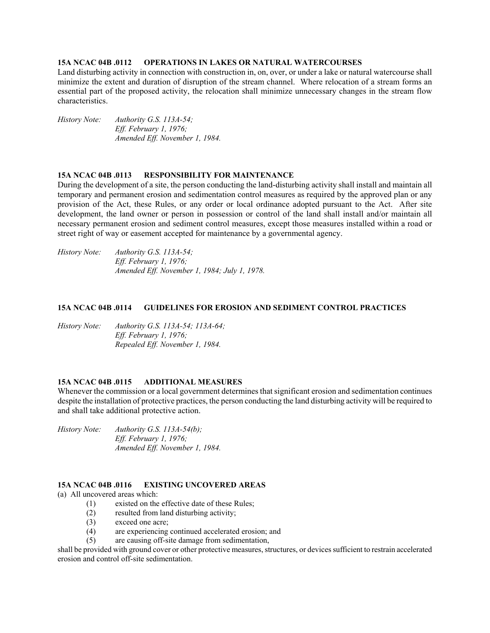# **15A NCAC 04B .0112 OPERATIONS IN LAKES OR NATURAL WATERCOURSES**

Land disturbing activity in connection with construction in, on, over, or under a lake or natural watercourse shall minimize the extent and duration of disruption of the stream channel. Where relocation of a stream forms an essential part of the proposed activity, the relocation shall minimize unnecessary changes in the stream flow characteristics.

*History Note: Authority G.S. 113A-54; Eff. February 1, 1976; Amended Eff. November 1, 1984.* 

# **15A NCAC 04B .0113 RESPONSIBILITY FOR MAINTENANCE**

During the development of a site, the person conducting the land-disturbing activity shall install and maintain all temporary and permanent erosion and sedimentation control measures as required by the approved plan or any provision of the Act, these Rules, or any order or local ordinance adopted pursuant to the Act. After site development, the land owner or person in possession or control of the land shall install and/or maintain all necessary permanent erosion and sediment control measures, except those measures installed within a road or street right of way or easement accepted for maintenance by a governmental agency.

*History Note: Authority G.S. 113A-54; Eff. February 1, 1976; Amended Eff. November 1, 1984; July 1, 1978.* 

# **15A NCAC 04B .0114 GUIDELINES FOR EROSION AND SEDIMENT CONTROL PRACTICES**

*History Note: Authority G.S. 113A-54; 113A-64; Eff. February 1, 1976; Repealed Eff. November 1, 1984.* 

# **15A NCAC 04B .0115 ADDITIONAL MEASURES**

Whenever the commission or a local government determines that significant erosion and sedimentation continues despite the installation of protective practices, the person conducting the land disturbing activity will be required to and shall take additional protective action.

*History Note: Authority G.S. 113A-54(b); Eff. February 1, 1976; Amended Eff. November 1, 1984.* 

# **15A NCAC 04B .0116 EXISTING UNCOVERED AREAS**

(a) All uncovered areas which:

- (1) existed on the effective date of these Rules;
- (2) resulted from land disturbing activity;
- (3) exceed one acre;
- (4) are experiencing continued accelerated erosion; and
- (5) are causing off-site damage from sedimentation,

shall be provided with ground cover or other protective measures, structures, or devices sufficient to restrain accelerated erosion and control off-site sedimentation.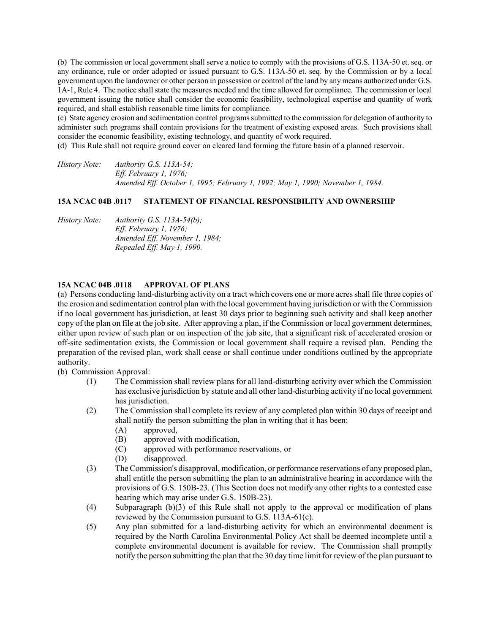(b) The commission or local government shall serve a notice to comply with the provisions of G.S. 113A-50 et. seq. or any ordinance, rule or order adopted or issued pursuant to G.S. 113A-50 et. seq. by the Commission or by a local government upon the landowner or other person in possession or control of the land by any means authorized under G.S. 1A-1, Rule 4. The notice shall state the measures needed and the time allowed for compliance. The commission or local government issuing the notice shall consider the economic feasibility, technological expertise and quantity of work required, and shall establish reasonable time limits for compliance.

(c) State agency erosion and sedimentation control programs submitted to the commission for delegation of authority to administer such programs shall contain provisions for the treatment of existing exposed areas. Such provisions shall consider the economic feasibility, existing technology, and quantity of work required.

(d) This Rule shall not require ground cover on cleared land forming the future basin of a planned reservoir.

*History Note: Authority G.S. 113A-54; Eff. February 1, 1976; Amended Eff. October 1, 1995; February 1, 1992; May 1, 1990; November 1, 1984.* 

# **15A NCAC 04B .0117 STATEMENT OF FINANCIAL RESPONSIBILITY AND OWNERSHIP**

*History Note: Authority G.S. 113A-54(b); Eff. February 1, 1976; Amended Eff. November 1, 1984; Repealed Eff. May 1, 1990.* 

# **15A NCAC 04B .0118 APPROVAL OF PLANS**

(a) Persons conducting land-disturbing activity on a tract which covers one or more acres shall file three copies of the erosion and sedimentation control plan with the local government having jurisdiction or with the Commission if no local government has jurisdiction, at least 30 days prior to beginning such activity and shall keep another copy of the plan on file at the job site. After approving a plan, if the Commission or local government determines, either upon review of such plan or on inspection of the job site, that a significant risk of accelerated erosion or off-site sedimentation exists, the Commission or local government shall require a revised plan. Pending the preparation of the revised plan, work shall cease or shall continue under conditions outlined by the appropriate authority.

(b) Commission Approval:

- (1) The Commission shall review plans for all land-disturbing activity over which the Commission has exclusive jurisdiction by statute and all other land-disturbing activity if no local government has jurisdiction.
- (2) The Commission shall complete its review of any completed plan within 30 days of receipt and shall notify the person submitting the plan in writing that it has been:
	- (A) approved,
	- (B) approved with modification,
	- (C) approved with performance reservations, or
	- (D) disapproved.
- (3) The Commission's disapproval, modification, or performance reservations of any proposed plan, shall entitle the person submitting the plan to an administrative hearing in accordance with the provisions of G.S. 150B-23. (This Section does not modify any other rights to a contested case hearing which may arise under G.S. 150B-23).
- (4) Subparagraph (b)(3) of this Rule shall not apply to the approval or modification of plans reviewed by the Commission pursuant to G.S. 113A-61(c).
- (5) Any plan submitted for a land-disturbing activity for which an environmental document is required by the North Carolina Environmental Policy Act shall be deemed incomplete until a complete environmental document is available for review. The Commission shall promptly notify the person submitting the plan that the 30 day time limit for review of the plan pursuant to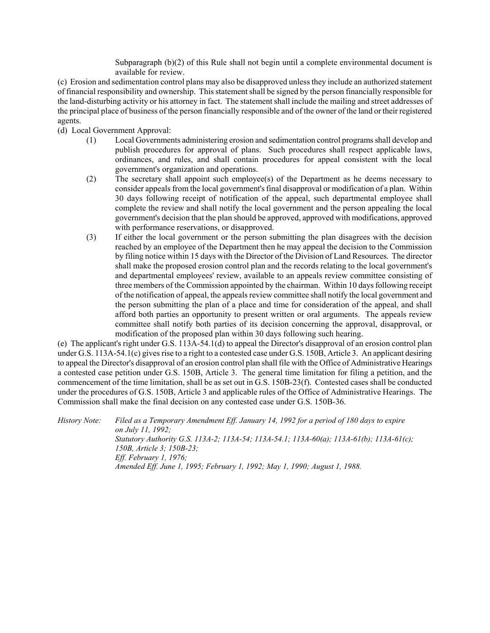Subparagraph (b)(2) of this Rule shall not begin until a complete environmental document is available for review.

(c) Erosion and sedimentation control plans may also be disapproved unless they include an authorized statement of financial responsibility and ownership. This statement shall be signed by the person financially responsible for the land-disturbing activity or his attorney in fact. The statement shall include the mailing and street addresses of the principal place of business of the person financially responsible and of the owner of the land or their registered agents.

(d) Local Government Approval:

- (1) Local Governments administering erosion and sedimentation control programs shall develop and publish procedures for approval of plans. Such procedures shall respect applicable laws, ordinances, and rules, and shall contain procedures for appeal consistent with the local government's organization and operations.
- (2) The secretary shall appoint such employee(s) of the Department as he deems necessary to consider appeals from the local government's final disapproval or modification of a plan. Within 30 days following receipt of notification of the appeal, such departmental employee shall complete the review and shall notify the local government and the person appealing the local government's decision that the plan should be approved, approved with modifications, approved with performance reservations, or disapproved.
- (3) If either the local government or the person submitting the plan disagrees with the decision reached by an employee of the Department then he may appeal the decision to the Commission by filing notice within 15 days with the Director of the Division of Land Resources. The director shall make the proposed erosion control plan and the records relating to the local government's and departmental employees' review, available to an appeals review committee consisting of three members of the Commission appointed by the chairman. Within 10 days following receipt of the notification of appeal, the appeals review committee shall notify the local government and the person submitting the plan of a place and time for consideration of the appeal, and shall afford both parties an opportunity to present written or oral arguments. The appeals review committee shall notify both parties of its decision concerning the approval, disapproval, or modification of the proposed plan within 30 days following such hearing.

(e) The applicant's right under G.S. 113A-54.1(d) to appeal the Director's disapproval of an erosion control plan under G.S. 113A-54.1(c) gives rise to a right to a contested case under G.S. 150B, Article 3. An applicant desiring to appeal the Director's disapproval of an erosion control plan shall file with the Office of Administrative Hearings a contested case petition under G.S. 150B, Article 3. The general time limitation for filing a petition, and the commencement of the time limitation, shall be as set out in G.S. 150B-23(f). Contested cases shall be conducted under the procedures of G.S. 150B, Article 3 and applicable rules of the Office of Administrative Hearings. The Commission shall make the final decision on any contested case under G.S. 150B-36.

*History Note: Filed as a Temporary Amendment Eff. January 14, 1992 for a period of 180 days to expire on July 11, 1992; Statutory Authority G.S. 113A-2; 113A-54; 113A-54.1; 113A-60(a); 113A-61(b); 113A-61(c); 150B, Article 3; 150B-23; Eff. February 1, 1976; Amended Eff. June 1, 1995; February 1, 1992; May 1, 1990; August 1, 1988.*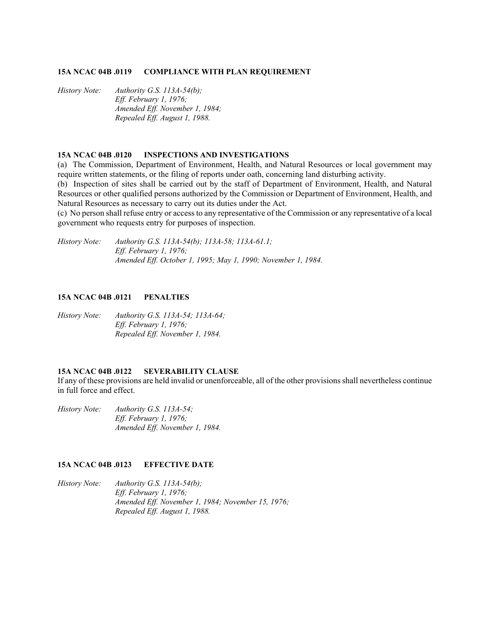# **15A NCAC 04B .0119 COMPLIANCE WITH PLAN REQUIREMENT**

*History Note: Authority G.S. 113A-54(b); Eff. February 1, 1976; Amended Eff. November 1, 1984; Repealed Eff. August 1, 1988.* 

# **15A NCAC 04B .0120 INSPECTIONS AND INVESTIGATIONS**

(a) The Commission, Department of Environment, Health, and Natural Resources or local government may require written statements, or the filing of reports under oath, concerning land disturbing activity.

(b) Inspection of sites shall be carried out by the staff of Department of Environment, Health, and Natural Resources or other qualified persons authorized by the Commission or Department of Environment, Health, and Natural Resources as necessary to carry out its duties under the Act.

(c) No person shall refuse entry or access to any representative of the Commission or any representative of a local government who requests entry for purposes of inspection.

*History Note: Authority G.S. 113A-54(b); 113A-58; 113A-61.1; Eff. February 1, 1976; Amended Eff. October 1, 1995; May 1, 1990; November 1, 1984.* 

#### **15A NCAC 04B .0121 PENALTIES**

*History Note: Authority G.S. 113A-54; 113A-64; Eff. February 1, 1976; Repealed Eff. November 1, 1984.* 

#### **15A NCAC 04B .0122 SEVERABILITY CLAUSE**

If any of these provisions are held invalid or unenforceable, all of the other provisions shall nevertheless continue in full force and effect.

*History Note: Authority G.S. 113A-54; Eff. February 1, 1976; Amended Eff. November 1, 1984.* 

#### **15A NCAC 04B .0123 EFFECTIVE DATE**

*History Note: Authority G.S. 113A-54(b); Eff. February 1, 1976; Amended Eff. November 1, 1984; November 15, 1976; Repealed Eff. August 1, 1988.*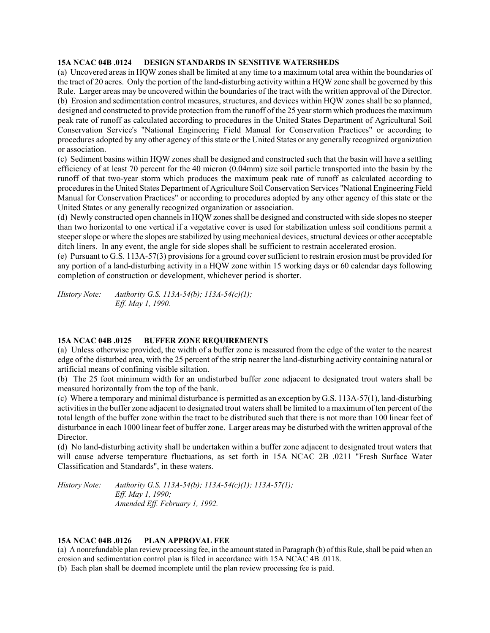# **15A NCAC 04B .0124 DESIGN STANDARDS IN SENSITIVE WATERSHEDS**

(a) Uncovered areas in HQW zones shall be limited at any time to a maximum total area within the boundaries of the tract of 20 acres. Only the portion of the land-disturbing activity within a HQW zone shall be governed by this Rule. Larger areas may be uncovered within the boundaries of the tract with the written approval of the Director. (b) Erosion and sedimentation control measures, structures, and devices within HQW zones shall be so planned, designed and constructed to provide protection from the runoff of the 25 year storm which produces the maximum peak rate of runoff as calculated according to procedures in the United States Department of Agricultural Soil Conservation Service's "National Engineering Field Manual for Conservation Practices" or according to procedures adopted by any other agency of this state or the United States or any generally recognized organization or association.

(c) Sediment basins within HQW zones shall be designed and constructed such that the basin will have a settling efficiency of at least 70 percent for the 40 micron (0.04mm) size soil particle transported into the basin by the runoff of that two-year storm which produces the maximum peak rate of runoff as calculated according to procedures in the United States Department of Agriculture Soil Conservation Services "National Engineering Field Manual for Conservation Practices" or according to procedures adopted by any other agency of this state or the United States or any generally recognized organization or association.

(d) Newly constructed open channels in HQW zones shall be designed and constructed with side slopes no steeper than two horizontal to one vertical if a vegetative cover is used for stabilization unless soil conditions permit a steeper slope or where the slopes are stabilized by using mechanical devices, structural devices or other acceptable ditch liners. In any event, the angle for side slopes shall be sufficient to restrain accelerated erosion.

(e) Pursuant to G.S. 113A-57(3) provisions for a ground cover sufficient to restrain erosion must be provided for any portion of a land-disturbing activity in a HQW zone within 15 working days or 60 calendar days following completion of construction or development, whichever period is shorter.

*History Note: Authority G.S. 113A-54(b); 113A-54(c)(1); Eff. May 1, 1990.* 

# **15A NCAC 04B .0125 BUFFER ZONE REQUIREMENTS**

(a) Unless otherwise provided, the width of a buffer zone is measured from the edge of the water to the nearest edge of the disturbed area, with the 25 percent of the strip nearer the land-disturbing activity containing natural or artificial means of confining visible siltation.

(b) The 25 foot minimum width for an undisturbed buffer zone adjacent to designated trout waters shall be measured horizontally from the top of the bank.

(c) Where a temporary and minimal disturbance is permitted as an exception by G.S. 113A-57(1), land-disturbing activities in the buffer zone adjacent to designated trout waters shall be limited to a maximum of ten percent of the total length of the buffer zone within the tract to be distributed such that there is not more than 100 linear feet of disturbance in each 1000 linear feet of buffer zone. Larger areas may be disturbed with the written approval of the **Director** 

(d) No land-disturbing activity shall be undertaken within a buffer zone adjacent to designated trout waters that will cause adverse temperature fluctuations, as set forth in 15A NCAC 2B .0211 "Fresh Surface Water Classification and Standards", in these waters.

*History Note: Authority G.S. 113A-54(b); 113A-54(c)(1); 113A-57(1); Eff. May 1, 1990; Amended Eff. February 1, 1992.* 

# **15A NCAC 04B .0126 PLAN APPROVAL FEE**

(a) A nonrefundable plan review processing fee, in the amount stated in Paragraph (b) of this Rule, shall be paid when an erosion and sedimentation control plan is filed in accordance with 15A NCAC 4B .0118. (b) Each plan shall be deemed incomplete until the plan review processing fee is paid.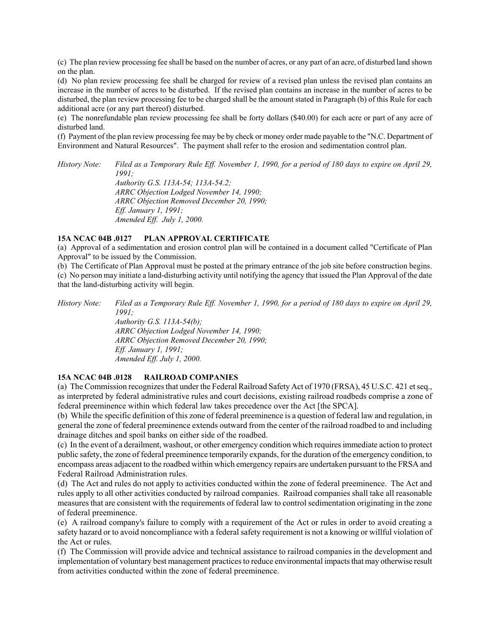(c) The plan review processing fee shall be based on the number of acres, or any part of an acre, of disturbed land shown on the plan.

(d) No plan review processing fee shall be charged for review of a revised plan unless the revised plan contains an increase in the number of acres to be disturbed. If the revised plan contains an increase in the number of acres to be disturbed, the plan review processing fee to be charged shall be the amount stated in Paragraph (b) of this Rule for each additional acre (or any part thereof) disturbed.

(e) The nonrefundable plan review processing fee shall be forty dollars (\$40.00) for each acre or part of any acre of disturbed land.

(f) Payment of the plan review processing fee may be by check or money order made payable to the "N.C. Department of Environment and Natural Resources". The payment shall refer to the erosion and sedimentation control plan.

*History Note: Filed as a Temporary Rule Eff. November 1, 1990, for a period of 180 days to expire on April 29, 1991; Authority G.S. 113A-54; 113A-54.2; ARRC Objection Lodged November 14, 1990; ARRC Objection Removed December 20, 1990; Eff. January 1, 1991; Amended Eff. July 1, 2000.* 

# **15A NCAC 04B .0127 PLAN APPROVAL CERTIFICATE**

(a) Approval of a sedimentation and erosion control plan will be contained in a document called "Certificate of Plan Approval" to be issued by the Commission.

(b) The Certificate of Plan Approval must be posted at the primary entrance of the job site before construction begins. (c) No person may initiate a land-disturbing activity until notifying the agency that issued the Plan Approval of the date that the land-disturbing activity will begin.

*History Note: Filed as a Temporary Rule Eff. November 1, 1990, for a period of 180 days to expire on April 29, 1991;* 

*Authority G.S. 113A-54(b); ARRC Objection Lodged November 14, 1990; ARRC Objection Removed December 20, 1990; Eff. January 1, 1991; Amended Eff. July 1, 2000.* 

#### **15A NCAC 04B .0128 RAILROAD COMPANIES**

(a) The Commission recognizes that under the Federal Railroad Safety Act of 1970 (FRSA), 45 U.S.C. 421 et seq., as interpreted by federal administrative rules and court decisions, existing railroad roadbeds comprise a zone of federal preeminence within which federal law takes precedence over the Act [the SPCA].

(b) While the specific definition of this zone of federal preeminence is a question of federal law and regulation, in general the zone of federal preeminence extends outward from the center of the railroad roadbed to and including drainage ditches and spoil banks on either side of the roadbed.

(c) In the event of a derailment, washout, or other emergency condition which requires immediate action to protect public safety, the zone of federal preeminence temporarily expands, for the duration of the emergency condition, to encompass areas adjacent to the roadbed within which emergency repairs are undertaken pursuant to the FRSA and Federal Railroad Administration rules.

(d) The Act and rules do not apply to activities conducted within the zone of federal preeminence. The Act and rules apply to all other activities conducted by railroad companies. Railroad companies shall take all reasonable measures that are consistent with the requirements of federal law to control sedimentation originating in the zone of federal preeminence.

(e) A railroad company's failure to comply with a requirement of the Act or rules in order to avoid creating a safety hazard or to avoid noncompliance with a federal safety requirement is not a knowing or willful violation of the Act or rules.

(f) The Commission will provide advice and technical assistance to railroad companies in the development and implementation of voluntary best management practices to reduce environmental impacts that may otherwise result from activities conducted within the zone of federal preeminence.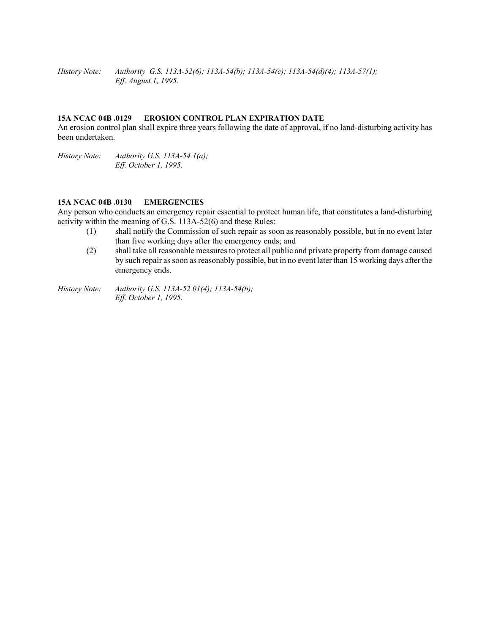*History Note: Authority G.S. 113A-52(6); 113A-54(b); 113A-54(c); 113A-54(d)(4); 113A-57(1); Eff. August 1, 1995.* 

# **15A NCAC 04B .0129 EROSION CONTROL PLAN EXPIRATION DATE**

An erosion control plan shall expire three years following the date of approval, if no land-disturbing activity has been undertaken.

*History Note: Authority G.S. 113A-54.1(a); Eff. October 1, 1995.* 

# **15A NCAC 04B .0130 EMERGENCIES**

Any person who conducts an emergency repair essential to protect human life, that constitutes a land-disturbing activity within the meaning of G.S. 113A-52(6) and these Rules:

- (1) shall notify the Commission of such repair as soon as reasonably possible, but in no event later than five working days after the emergency ends; and
- (2) shall take all reasonable measures to protect all public and private property from damage caused by such repair as soon as reasonably possible, but in no event later than 15 working days after the emergency ends.

*History Note: Authority G.S. 113A-52.01(4); 113A-54(b); Eff. October 1, 1995.*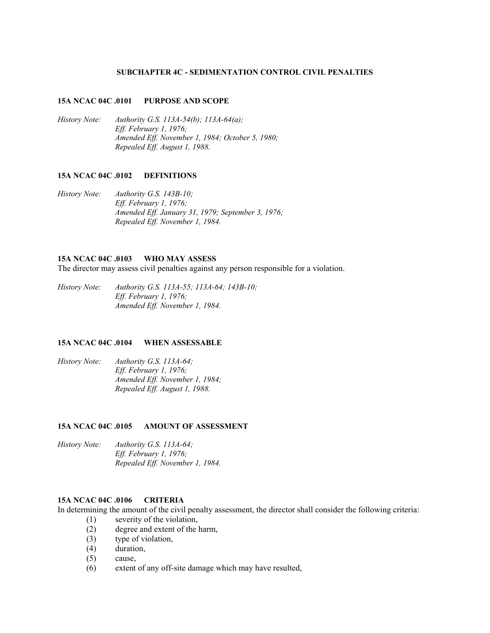#### **SUBCHAPTER 4C - SEDIMENTATION CONTROL CIVIL PENALTIES**

# **15A NCAC 04C .0101 PURPOSE AND SCOPE**

*History Note: Authority G.S. 113A-54(b); 113A-64(a); Eff. February 1, 1976; Amended Eff. November 1, 1984; October 5, 1980; Repealed Eff. August 1, 1988.* 

#### **15A NCAC 04C .0102 DEFINITIONS**

*History Note: Authority G.S. 143B-10; Eff. February 1, 1976; Amended Eff. January 31, 1979; September 3, 1976; Repealed Eff. November 1, 1984.* 

#### **15A NCAC 04C .0103 WHO MAY ASSESS**

The director may assess civil penalties against any person responsible for a violation.

*History Note: Authority G.S. 113A-55; 113A-64; 143B-10; Eff. February 1, 1976; Amended Eff. November 1, 1984.* 

# **15A NCAC 04C .0104 WHEN ASSESSABLE**

*History Note: Authority G.S. 113A-64; Eff. February 1, 1976; Amended Eff. November 1, 1984; Repealed Eff. August 1, 1988.* 

#### **15A NCAC 04C .0105 AMOUNT OF ASSESSMENT**

*History Note: Authority G.S. 113A-64; Eff. February 1, 1976; Repealed Eff. November 1, 1984.* 

# **15A NCAC 04C .0106 CRITERIA**

In determining the amount of the civil penalty assessment, the director shall consider the following criteria:

- (1) severity of the violation,
	- (2) degree and extent of the harm,
	- (3) type of violation,
	- (4) duration,
	- (5) cause,
	- (6) extent of any off-site damage which may have resulted,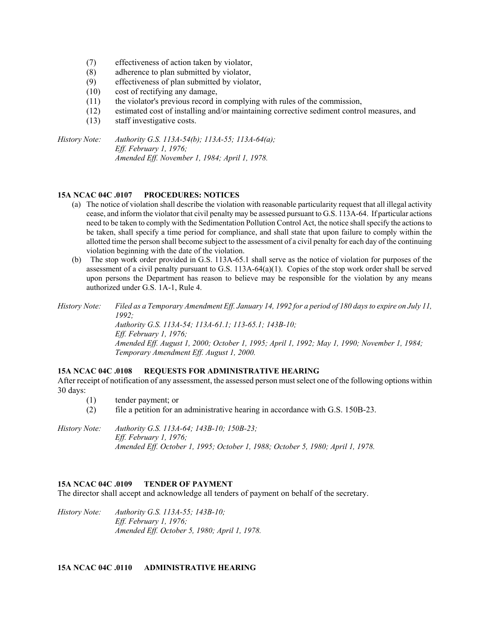- (7) effectiveness of action taken by violator,
- (8) adherence to plan submitted by violator,
- (9) effectiveness of plan submitted by violator,
- (10) cost of rectifying any damage,
- (11) the violator's previous record in complying with rules of the commission,
- (12) estimated cost of installing and/or maintaining corrective sediment control measures, and
- (13) staff investigative costs.

*History Note: Authority G.S. 113A-54(b); 113A-55; 113A-64(a); Eff. February 1, 1976; Amended Eff. November 1, 1984; April 1, 1978.* 

# **15A NCAC 04C .0107 PROCEDURES: NOTICES**

- (a) The notice of violation shall describe the violation with reasonable particularity request that all illegal activity cease, and inform the violator that civil penalty may be assessed pursuant to G.S. 113A-64. If particular actions need to be taken to comply with the Sedimentation Pollution Control Act, the notice shall specify the actions to be taken, shall specify a time period for compliance, and shall state that upon failure to comply within the allotted time the person shall become subject to the assessment of a civil penalty for each day of the continuing violation beginning with the date of the violation.
- (b) The stop work order provided in G.S. 113A-65.1 shall serve as the notice of violation for purposes of the assessment of a civil penalty pursuant to G.S. 113A-64(a)(1). Copies of the stop work order shall be served upon persons the Department has reason to believe may be responsible for the violation by any means authorized under G.S. 1A-1, Rule 4.

*History Note: Filed as a Temporary Amendment Eff. January 14, 1992 for a period of 180 days to expire on July 11, 1992; Authority G.S. 113A-54; 113A-61.1; 113-65.1; 143B-10; Eff. February 1, 1976; Amended Eff. August 1, 2000; October 1, 1995; April 1, 1992; May 1, 1990; November 1, 1984; Temporary Amendment Eff. August 1, 2000.* 

# **15A NCAC 04C .0108 REQUESTS FOR ADMINISTRATIVE HEARING**

After receipt of notification of any assessment, the assessed person must select one of the following options within 30 days:

- (1) tender payment; or
- (2) file a petition for an administrative hearing in accordance with G.S. 150B-23.

*History Note: Authority G.S. 113A-64; 143B-10; 150B-23; Eff. February 1, 1976; Amended Eff. October 1, 1995; October 1, 1988; October 5, 1980; April 1, 1978.* 

# **15A NCAC 04C .0109 TENDER OF PAYMENT**

The director shall accept and acknowledge all tenders of payment on behalf of the secretary.

*History Note: Authority G.S. 113A-55; 143B-10; Eff. February 1, 1976; Amended Eff. October 5, 1980; April 1, 1978.* 

# **15A NCAC 04C .0110 ADMINISTRATIVE HEARING**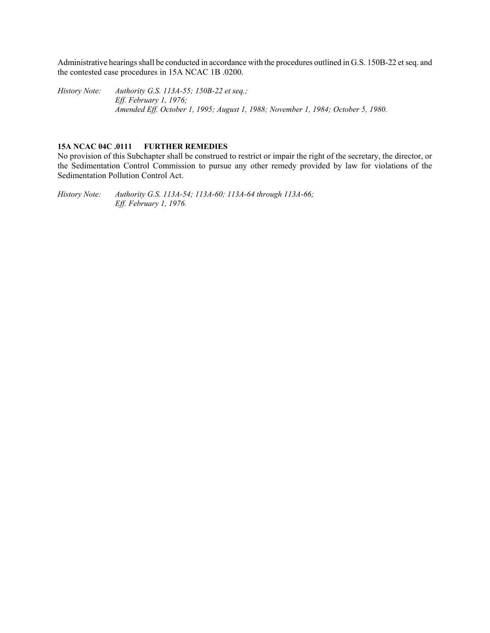Administrative hearings shall be conducted in accordance with the procedures outlined in G.S. 150B-22 et seq. and the contested case procedures in 15A NCAC 1B .0200.

*History Note: Authority G.S. 113A-55; 150B-22 et seq.; Eff. February 1, 1976; Amended Eff. October 1, 1995; August 1, 1988; November 1, 1984; October 5, 1980.* 

# **15A NCAC 04C .0111 FURTHER REMEDIES**

No provision of this Subchapter shall be construed to restrict or impair the right of the secretary, the director, or the Sedimentation Control Commission to pursue any other remedy provided by law for violations of the Sedimentation Pollution Control Act.

*History Note: Authority G.S. 113A-54; 113A-60; 113A-64 through 113A-66; Eff. February 1, 1976.*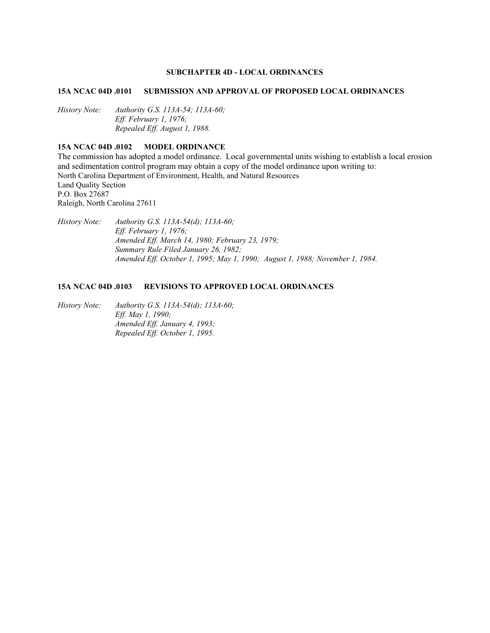# **SUBCHAPTER 4D - LOCAL ORDINANCES**

#### **15A NCAC 04D .0101 SUBMISSION AND APPROVAL OF PROPOSED LOCAL ORDINANCES**

*History Note: Authority G.S. 113A-54; 113A-60; Eff. February 1, 1976; Repealed Eff. August 1, 1988.* 

# **15A NCAC 04D .0102 MODEL ORDINANCE**

The commission has adopted a model ordinance. Local governmental units wishing to establish a local erosion and sedimentation control program may obtain a copy of the model ordinance upon writing to: North Carolina Department of Environment, Health, and Natural Resources Land Quality Section P.O. Box 27687 Raleigh, North Carolina 27611

*History Note: Authority G.S. 113A-54(d); 113A-60; Eff. February 1, 1976; Amended Eff. March 14, 1980; February 23, 1979; Summary Rule Filed January 26, 1982; Amended Eff. October 1, 1995; May 1, 1990; August 1, 1988; November 1, 1984.* 

# **15A NCAC 04D .0103 REVISIONS TO APPROVED LOCAL ORDINANCES**

*History Note: Authority G.S. 113A-54(d); 113A-60; Eff. May 1, 1990; Amended Eff. January 4, 1993; Repealed Eff. October 1, 1995.*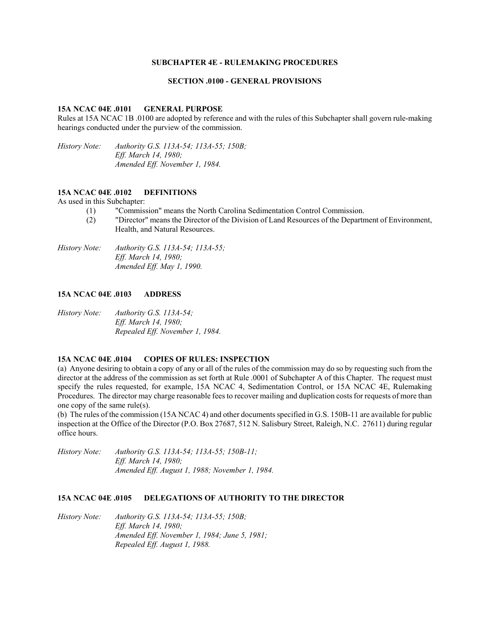#### **SUBCHAPTER 4E - RULEMAKING PROCEDURES**

#### **SECTION .0100 - GENERAL PROVISIONS**

#### **15A NCAC 04E .0101 GENERAL PURPOSE**

Rules at 15A NCAC 1B .0100 are adopted by reference and with the rules of this Subchapter shall govern rule-making hearings conducted under the purview of the commission.

*History Note: Authority G.S. 113A-54; 113A-55; 150B; Eff. March 14, 1980; Amended Eff. November 1, 1984.* 

#### **15A NCAC 04E .0102 DEFINITIONS**

As used in this Subchapter:

- (1) "Commission" means the North Carolina Sedimentation Control Commission.
- (2) "Director" means the Director of the Division of Land Resources of the Department of Environment, Health, and Natural Resources.

*History Note: Authority G.S. 113A-54; 113A-55; Eff. March 14, 1980; Amended Eff. May 1, 1990.* 

# **15A NCAC 04E .0103 ADDRESS**

*History Note: Authority G.S. 113A-54; Eff. March 14, 1980; Repealed Eff. November 1, 1984.* 

# **15A NCAC 04E .0104 COPIES OF RULES: INSPECTION**

(a) Anyone desiring to obtain a copy of any or all of the rules of the commission may do so by requesting such from the director at the address of the commission as set forth at Rule .0001 of Subchapter A of this Chapter. The request must specify the rules requested, for example, 15A NCAC 4, Sedimentation Control, or 15A NCAC 4E, Rulemaking Procedures. The director may charge reasonable fees to recover mailing and duplication costs for requests of more than one copy of the same rule(s).

(b) The rules of the commission (15A NCAC 4) and other documents specified in G.S. 150B-11 are available for public inspection at the Office of the Director (P.O. Box 27687, 512 N. Salisbury Street, Raleigh, N.C. 27611) during regular office hours.

*History Note: Authority G.S. 113A-54; 113A-55; 150B-11; Eff. March 14, 1980; Amended Eff. August 1, 1988; November 1, 1984.* 

#### **15A NCAC 04E .0105 DELEGATIONS OF AUTHORITY TO THE DIRECTOR**

*History Note: Authority G.S. 113A-54; 113A-55; 150B; Eff. March 14, 1980; Amended Eff. November 1, 1984; June 5, 1981; Repealed Eff. August 1, 1988.*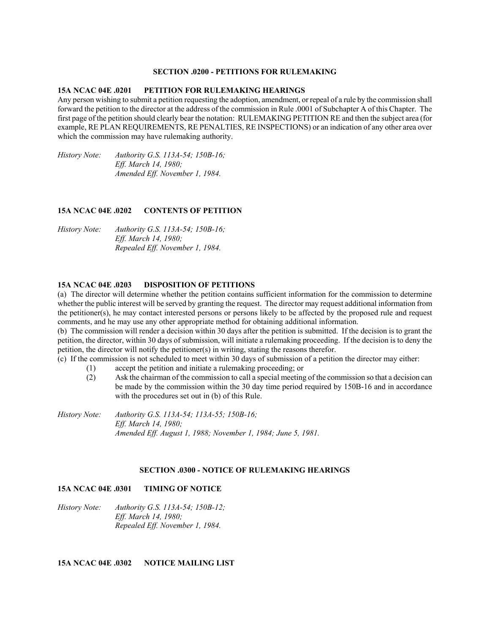#### **SECTION .0200 - PETITIONS FOR RULEMAKING**

#### **15A NCAC 04E .0201 PETITION FOR RULEMAKING HEARINGS**

Any person wishing to submit a petition requesting the adoption, amendment, or repeal of a rule by the commission shall forward the petition to the director at the address of the commission in Rule .0001 of Subchapter A of this Chapter. The first page of the petition should clearly bear the notation: RULEMAKING PETITION RE and then the subject area (for example, RE PLAN REQUIREMENTS, RE PENALTIES, RE INSPECTIONS) or an indication of any other area over which the commission may have rulemaking authority.

*History Note: Authority G.S. 113A-54; 150B-16; Eff. March 14, 1980; Amended Eff. November 1, 1984.* 

#### **15A NCAC 04E .0202 CONTENTS OF PETITION**

*History Note: Authority G.S. 113A-54; 150B-16; Eff. March 14, 1980; Repealed Eff. November 1, 1984.* 

#### **15A NCAC 04E .0203 DISPOSITION OF PETITIONS**

(a) The director will determine whether the petition contains sufficient information for the commission to determine whether the public interest will be served by granting the request. The director may request additional information from the petitioner(s), he may contact interested persons or persons likely to be affected by the proposed rule and request comments, and he may use any other appropriate method for obtaining additional information.

(b) The commission will render a decision within 30 days after the petition is submitted. If the decision is to grant the petition, the director, within 30 days of submission, will initiate a rulemaking proceeding. If the decision is to deny the petition, the director will notify the petitioner(s) in writing, stating the reasons therefor.

(c) If the commission is not scheduled to meet within 30 days of submission of a petition the director may either:

- (1) accept the petition and initiate a rulemaking proceeding; or
- (2) Ask the chairman of the commission to call a special meeting of the commission so that a decision can be made by the commission within the 30 day time period required by 150B-16 and in accordance with the procedures set out in (b) of this Rule.

*History Note: Authority G.S. 113A-54; 113A-55; 150B-16; Eff. March 14, 1980; Amended Eff. August 1, 1988; November 1, 1984; June 5, 1981.* 

# **SECTION .0300 - NOTICE OF RULEMAKING HEARINGS**

#### **15A NCAC 04E .0301 TIMING OF NOTICE**

*History Note: Authority G.S. 113A-54; 150B-12; Eff. March 14, 1980; Repealed Eff. November 1, 1984.* 

**15A NCAC 04E .0302 NOTICE MAILING LIST**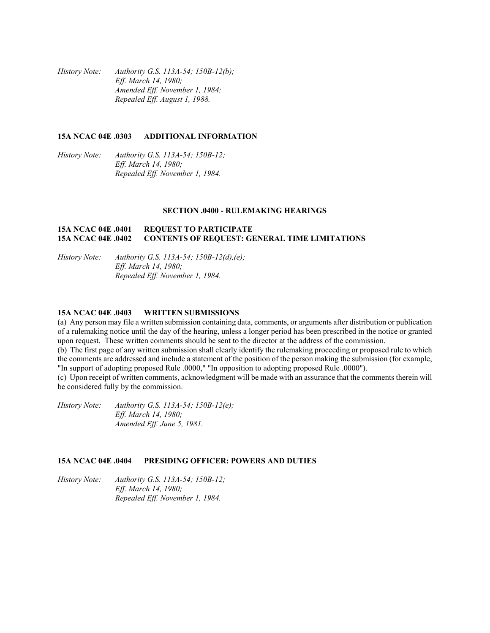*History Note: Authority G.S. 113A-54; 150B-12(b); Eff. March 14, 1980; Amended Eff. November 1, 1984; Repealed Eff. August 1, 1988.* 

#### **15A NCAC 04E .0303 ADDITIONAL INFORMATION**

*History Note: Authority G.S. 113A-54; 150B-12; Eff. March 14, 1980; Repealed Eff. November 1, 1984.* 

#### **SECTION .0400 - RULEMAKING HEARINGS**

# **15A NCAC 04E .0401 REQUEST TO PARTICIPATE 15A NCAC 04E .0402 CONTENTS OF REQUEST: GENERAL TIME LIMITATIONS**

*History Note: Authority G.S. 113A-54; 150B-12(d),(e); Eff. March 14, 1980; Repealed Eff. November 1, 1984.* 

# **15A NCAC 04E .0403 WRITTEN SUBMISSIONS**

(a) Any person may file a written submission containing data, comments, or arguments after distribution or publication of a rulemaking notice until the day of the hearing, unless a longer period has been prescribed in the notice or granted upon request. These written comments should be sent to the director at the address of the commission.

(b) The first page of any written submission shall clearly identify the rulemaking proceeding or proposed rule to which the comments are addressed and include a statement of the position of the person making the submission (for example, "In support of adopting proposed Rule .0000," "In opposition to adopting proposed Rule .0000").

(c) Upon receipt of written comments, acknowledgment will be made with an assurance that the comments therein will be considered fully by the commission.

*History Note: Authority G.S. 113A-54; 150B-12(e); Eff. March 14, 1980; Amended Eff. June 5, 1981.* 

# **15A NCAC 04E .0404 PRESIDING OFFICER: POWERS AND DUTIES**

*History Note: Authority G.S. 113A-54; 150B-12; Eff. March 14, 1980; Repealed Eff. November 1, 1984.*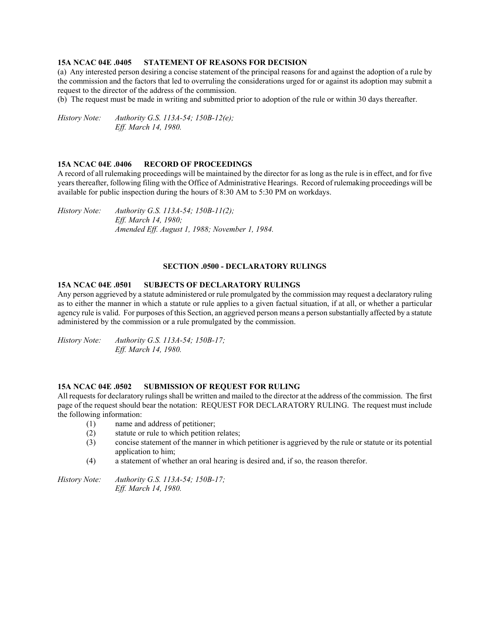# **15A NCAC 04E .0405 STATEMENT OF REASONS FOR DECISION**

(a) Any interested person desiring a concise statement of the principal reasons for and against the adoption of a rule by the commission and the factors that led to overruling the considerations urged for or against its adoption may submit a request to the director of the address of the commission.

(b) The request must be made in writing and submitted prior to adoption of the rule or within 30 days thereafter.

*History Note: Authority G.S. 113A-54; 150B-12(e); Eff. March 14, 1980.* 

#### **15A NCAC 04E .0406 RECORD OF PROCEEDINGS**

A record of all rulemaking proceedings will be maintained by the director for as long as the rule is in effect, and for five years thereafter, following filing with the Office of Administrative Hearings. Record of rulemaking proceedings will be available for public inspection during the hours of 8:30 AM to 5:30 PM on workdays.

*History Note: Authority G.S. 113A-54; 150B-11(2); Eff. March 14, 1980; Amended Eff. August 1, 1988; November 1, 1984.* 

#### **SECTION .0500 - DECLARATORY RULINGS**

# **15A NCAC 04E .0501 SUBJECTS OF DECLARATORY RULINGS**

Any person aggrieved by a statute administered or rule promulgated by the commission may request a declaratory ruling as to either the manner in which a statute or rule applies to a given factual situation, if at all, or whether a particular agency rule is valid. For purposes of this Section, an aggrieved person means a person substantially affected by a statute administered by the commission or a rule promulgated by the commission.

*History Note: Authority G.S. 113A-54; 150B-17; Eff. March 14, 1980.* 

#### **15A NCAC 04E .0502 SUBMISSION OF REQUEST FOR RULING**

All requests for declaratory rulings shall be written and mailed to the director at the address of the commission. The first page of the request should bear the notation: REQUEST FOR DECLARATORY RULING. The request must include the following information:

- (1) name and address of petitioner;
- (2) statute or rule to which petition relates;
- (3) concise statement of the manner in which petitioner is aggrieved by the rule or statute or its potential application to him;
- (4) a statement of whether an oral hearing is desired and, if so, the reason therefor.

*History Note: Authority G.S. 113A-54; 150B-17; Eff. March 14, 1980.*